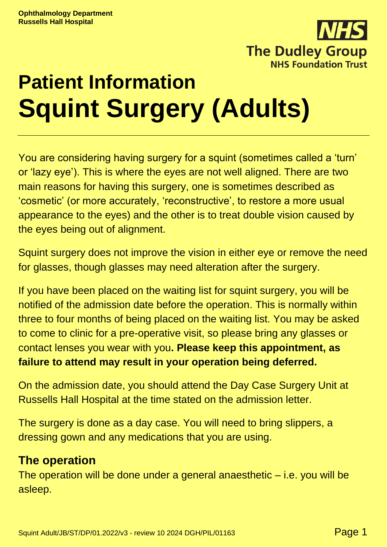

# **Patient Information Squint Surgery (Adults)**

You are considering having surgery for a squint (sometimes called a 'turn' or 'lazy eye'). This is where the eyes are not well aligned. There are two main reasons for having this surgery, one is sometimes described as 'cosmetic' (or more accurately, 'reconstructive', to restore a more usual appearance to the eyes) and the other is to treat double vision caused by the eyes being out of alignment.

Squint surgery does not improve the vision in either eye or remove the need for glasses, though glasses may need alteration after the surgery.

If you have been placed on the waiting list for squint surgery, you will be notified of the admission date before the operation. This is normally within three to four months of being placed on the waiting list. You may be asked to come to clinic for a pre-operative visit, so please bring any glasses or contact lenses you wear with you**. Please keep this appointment, as failure to attend may result in your operation being deferred.**

On the admission date, you should attend the Day Case Surgery Unit at Russells Hall Hospital at the time stated on the admission letter.

The surgery is done as a day case. You will need to bring slippers, a dressing gown and any medications that you are using.

### **The operation**

The operation will be done under a general anaesthetic  $-$  i.e. you will be asleep.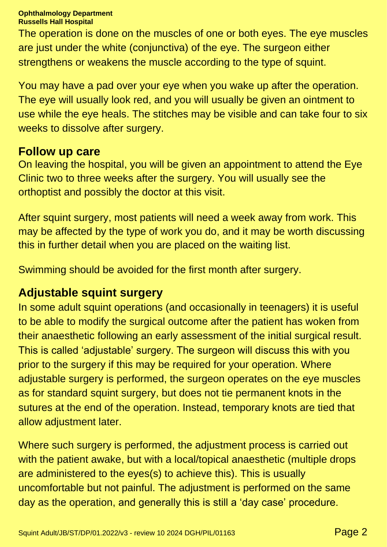**Ophthalmology Department Russells Hall Hospital**

The operation is done on the muscles of one or both eyes. The eye muscles are just under the white (conjunctiva) of the eye. The surgeon either strengthens or weakens the muscle according to the type of squint.

You may have a pad over your eye when you wake up after the operation. The eye will usually look red, and you will usually be given an ointment to use while the eye heals. The stitches may be visible and can take four to six weeks to dissolve after surgery.

#### **Follow up care**

On leaving the hospital, you will be given an appointment to attend the Eye Clinic two to three weeks after the surgery. You will usually see the orthoptist and possibly the doctor at this visit.

After squint surgery, most patients will need a week away from work. This may be affected by the type of work you do, and it may be worth discussing this in further detail when you are placed on the waiting list.

Swimming should be avoided for the first month after surgery.

# **Adjustable squint surgery**

In some adult squint operations (and occasionally in teenagers) it is useful to be able to modify the surgical outcome after the patient has woken from their anaesthetic following an early assessment of the initial surgical result. This is called 'adjustable' surgery. The surgeon will discuss this with you prior to the surgery if this may be required for your operation. Where adjustable surgery is performed, the surgeon operates on the eye muscles as for standard squint surgery, but does not tie permanent knots in the sutures at the end of the operation. Instead, temporary knots are tied that allow adjustment later.

Where such surgery is performed, the adjustment process is carried out with the patient awake, but with a local/topical anaesthetic (multiple drops are administered to the eyes(s) to achieve this). This is usually uncomfortable but not painful. The adjustment is performed on the same day as the operation, and generally this is still a 'day case' procedure.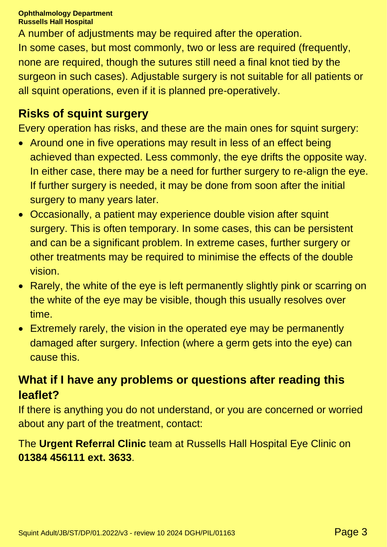#### **Ophthalmology Department Russells Hall Hospital**

A number of adjustments may be required after the operation. In some cases, but most commonly, two or less are required (frequently, none are required, though the sutures still need a final knot tied by the surgeon in such cases). Adjustable surgery is not suitable for all patients or all squint operations, even if it is planned pre-operatively.

# **Risks of squint surgery**

Every operation has risks, and these are the main ones for squint surgery:

- Around one in five operations may result in less of an effect being achieved than expected. Less commonly, the eye drifts the opposite way. In either case, there may be a need for further surgery to re-align the eye. If further surgery is needed, it may be done from soon after the initial surgery to many years later.
- Occasionally, a patient may experience double vision after squint surgery. This is often temporary. In some cases, this can be persistent and can be a significant problem. In extreme cases, further surgery or other treatments may be required to minimise the effects of the double vision.
- Rarely, the white of the eye is left permanently slightly pink or scarring on the white of the eye may be visible, though this usually resolves over time.
- Extremely rarely, the vision in the operated eye may be permanently damaged after surgery. Infection (where a germ gets into the eye) can cause this.

# **What if I have any problems or questions after reading this leaflet?**

If there is anything you do not understand, or you are concerned or worried about any part of the treatment, contact:

The **Urgent Referral Clinic** team at Russells Hall Hospital Eye Clinic on **01384 456111 ext. 3633**.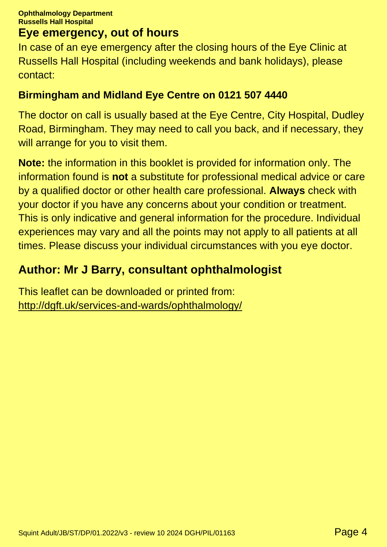## **Eye emergency, out of hours**

In case of an eye emergency after the closing hours of the Eye Clinic at Russells Hall Hospital (including weekends and bank holidays), please contact:

#### **Birmingham and Midland Eye Centre on 0121 507 4440**

The doctor on call is usually based at the Eye Centre, City Hospital, Dudley Road, Birmingham. They may need to call you back, and if necessary, they will arrange for you to visit them.

**Note:** the information in this booklet is provided for information only. The information found is **not** a substitute for professional medical advice or care by a qualified doctor or other health care professional. **Always** check with your doctor if you have any concerns about your condition or treatment. This is only indicative and general information for the procedure. Individual experiences may vary and all the points may not apply to all patients at all times. Please discuss your individual circumstances with you eye doctor.

# **Author: Mr J Barry, consultant ophthalmologist**

This leaflet can be downloaded or printed from: <http://dgft.uk/services-and-wards/ophthalmology/>